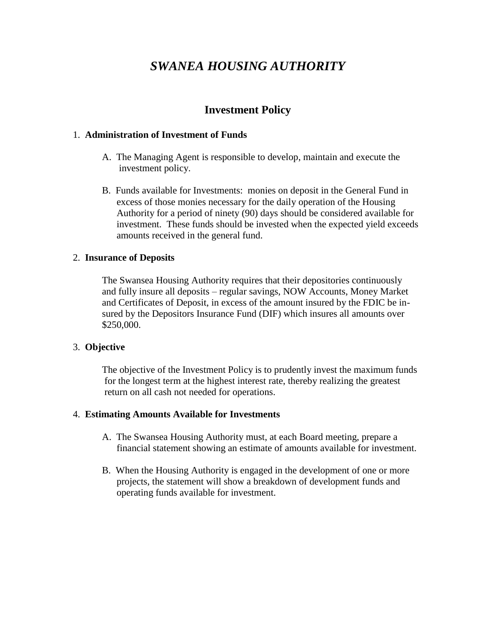# *SWANEA HOUSING AUTHORITY*

## **Investment Policy**

#### 1. **Administration of Investment of Funds**

- A. The Managing Agent is responsible to develop, maintain and execute the investment policy.
- B. Funds available for Investments: monies on deposit in the General Fund in excess of those monies necessary for the daily operation of the Housing Authority for a period of ninety (90) days should be considered available for investment. These funds should be invested when the expected yield exceeds amounts received in the general fund.

#### 2. **Insurance of Deposits**

The Swansea Housing Authority requires that their depositories continuously and fully insure all deposits – regular savings, NOW Accounts, Money Market and Certificates of Deposit, in excess of the amount insured by the FDIC be insured by the Depositors Insurance Fund (DIF) which insures all amounts over \$250,000.

#### 3. **Objective**

The objective of the Investment Policy is to prudently invest the maximum funds for the longest term at the highest interest rate, thereby realizing the greatest return on all cash not needed for operations.

#### 4. **Estimating Amounts Available for Investments**

- A. The Swansea Housing Authority must, at each Board meeting, prepare a financial statement showing an estimate of amounts available for investment.
- B. When the Housing Authority is engaged in the development of one or more projects, the statement will show a breakdown of development funds and operating funds available for investment.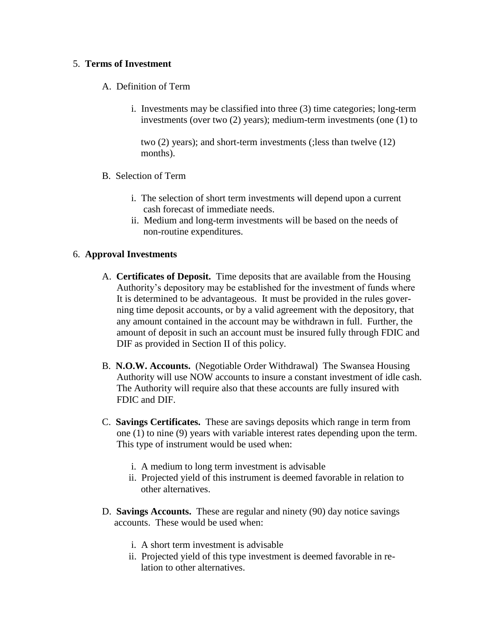#### 5. **Terms of Investment**

- A. Definition of Term
	- i. Investments may be classified into three (3) time categories; long-term investments (over two (2) years); medium-term investments (one (1) to

 two (2) years); and short-term investments (;less than twelve (12) months).

- B. Selection of Term
	- i. The selection of short term investments will depend upon a current cash forecast of immediate needs.
	- ii. Medium and long-term investments will be based on the needs of non-routine expenditures.

### 6. **Approval Investments**

- A. **Certificates of Deposit.** Time deposits that are available from the Housing Authority's depository may be established for the investment of funds where It is determined to be advantageous. It must be provided in the rules gover ning time deposit accounts, or by a valid agreement with the depository, that any amount contained in the account may be withdrawn in full. Further, the amount of deposit in such an account must be insured fully through FDIC and DIF as provided in Section II of this policy.
- B. **N.O.W. Accounts.** (Negotiable Order Withdrawal) The Swansea Housing Authority will use NOW accounts to insure a constant investment of idle cash. The Authority will require also that these accounts are fully insured with FDIC and DIF.
- C. **Savings Certificates.** These are savings deposits which range in term from one (1) to nine (9) years with variable interest rates depending upon the term. This type of instrument would be used when:
	- i. A medium to long term investment is advisable
	- ii. Projected yield of this instrument is deemed favorable in relation to other alternatives.
- D. **Savings Accounts.** These are regular and ninety (90) day notice savings accounts. These would be used when:
	- i. A short term investment is advisable
	- ii. Projected yield of this type investment is deemed favorable in re lation to other alternatives.